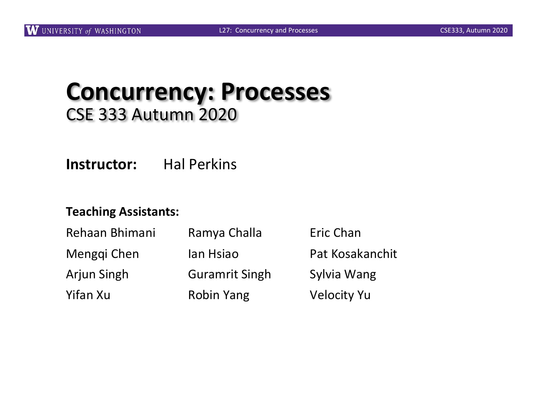#### **Concurrency: Processes** CSE 333 Autumn 2020

**Instructor:** Hal Perkins

#### **Teaching Assistants:**

| Rehaan Bhimani<br>Menggi Chen | Ramya Challa<br>lan Hsiao | Eric Chan<br>Pat Kosakanchit |
|-------------------------------|---------------------------|------------------------------|
|                               |                           |                              |
| Yifan Xu                      | <b>Robin Yang</b>         | <b>Velocity Yu</b>           |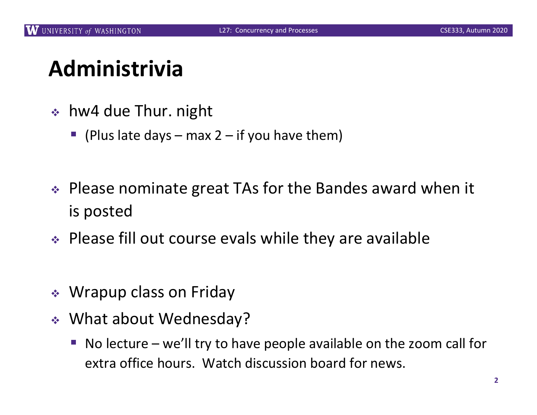## **Administrivia**

- $\cdot$  hw4 due Thur. night
	- **•** (Plus late days max  $2 if$  you have them)
- ◆ Please nominate great TAs for the Bandes award when it is posted
- $\triangle$  Please fill out course evals while they are available
- $\triangleleft$  Wrapup class on Friday
- ↓ What about Wednesday?
	- No lecture we'll try to have people available on the zoom call for extra office hours. Watch discussion board for news.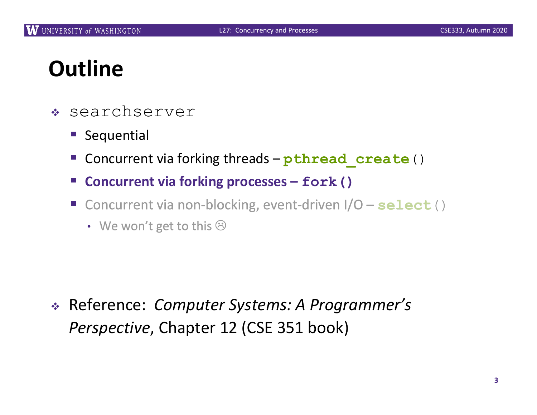## **Outline**

- <sup>v</sup> searchserver
	- Sequential
	- § Concurrent via forking threads **pthread\_create**()
	- § **Concurrent via forking processes – fork()**
	- Concurrent via non-blocking, event-driven I/O select ()
		- We won't get to this  $\odot$

<sup>v</sup> Reference: *Computer Systems: A Programmer's Perspective*, Chapter 12 (CSE 351 book)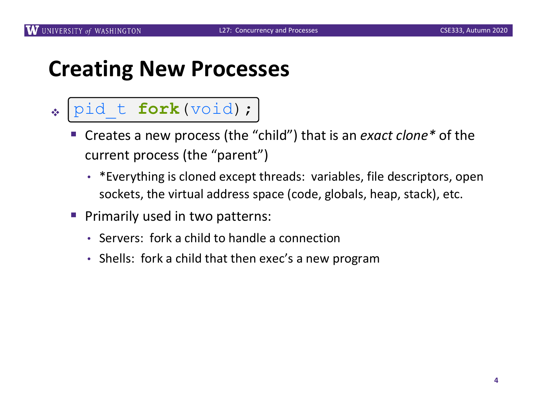#### **Creating New Processes**

#### $\mathbf{v}_i^{\mathbf{v}_i}$ pid t fork(void);

- § Creates a new process (the "child") that is an *exact clone\** of the current process (the "parent")
	- \*Everything is cloned except threads: variables, file descriptors, open sockets, the virtual address space (code, globals, heap, stack), etc.
- § Primarily used in two patterns:
	- Servers: fork a child to handle a connection
	- Shells: fork a child that then exec's a new program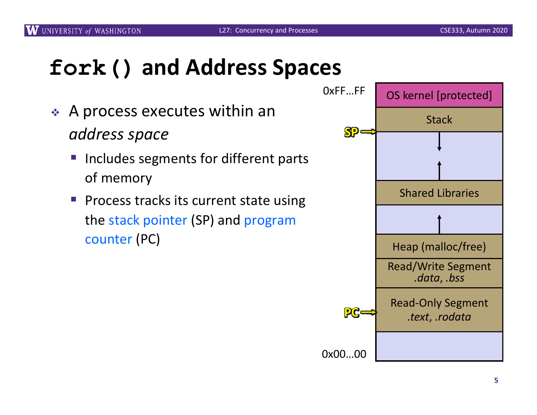#### **fork() and Address Spaces**

- $\triangle$  A process executes within an *address space*
	- Includes segments for different parts of memory
	- Process tracks its current state using the stack pointer (SP) and program counter (PC)

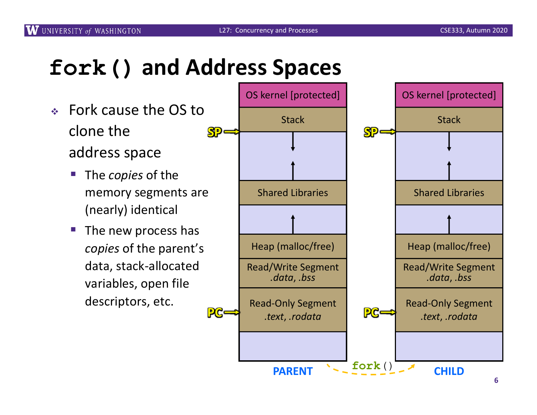#### **fork() and Address Spaces**

- $\div$  Fork cause the OS to clone the address space
	- § The *copies* of the memory segments are (nearly) identical
	- The new process has *copies* of the parent's data, stack-allocated variables, open file descriptors, etc.

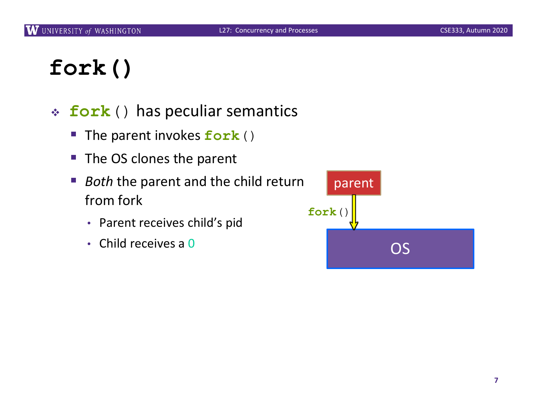# **fork()**

- <sup>v</sup> **fork**() has peculiar semantics
	- The parent invokes **fork**()
	- The OS clones the parent
	- *Both* the parent and the child return from fork
		- Parent receives child's pid
		- Child receives a 0

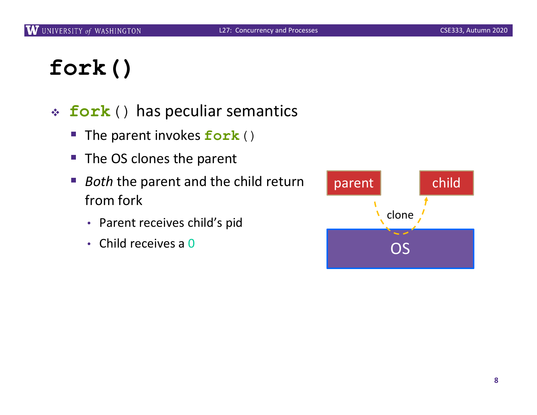# **fork()**

- <sup>v</sup> **fork**() has peculiar semantics
	- The parent invokes **fork**()
	- The OS clones the parent
	- *Both* the parent and the child return from fork
		- Parent receives child's pid
		- Child receives a 0

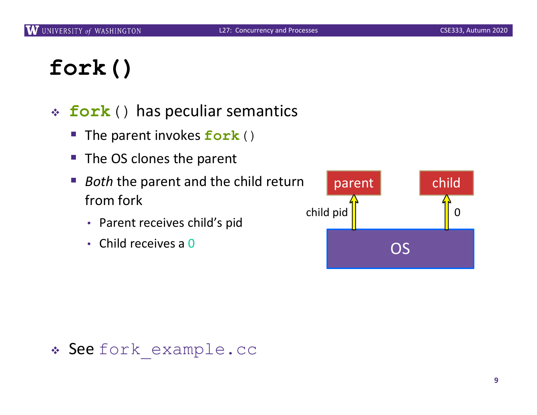## **fork()**

- <sup>v</sup> **fork**() has peculiar semantics
	- The parent invokes **fork**()
	- The OS clones the parent
	- § *Both* the parent and the child return from fork
		- Parent receives child's pid
		- Child receives a 0



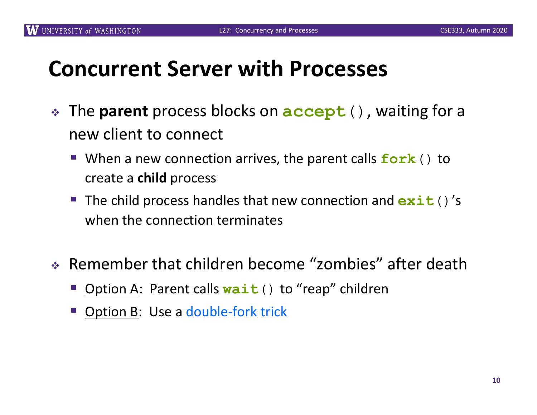## **Concurrent Server with Processes**

- The **parent** process blocks on **accept** (), waiting for a new client to connect
	- When a new connection arrives, the parent calls **fork**() to create a **child** process
	- The child process handles that new connection and **exit**()'s when the connection terminates
- ◆ Remember that children become "zombies" after death
	- § Option A: Parent calls **wait**() to "reap" children
	- Option B: Use a double-fork trick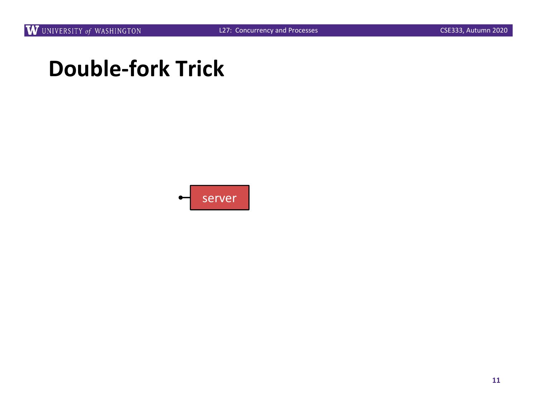server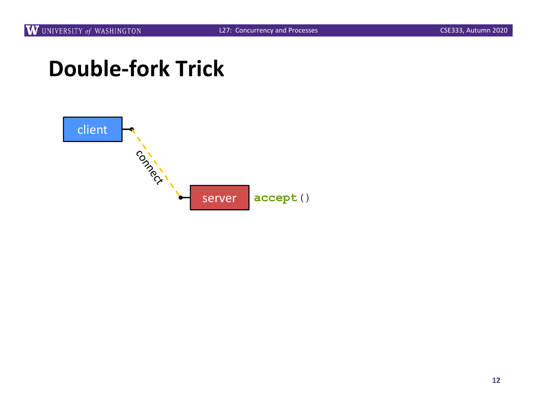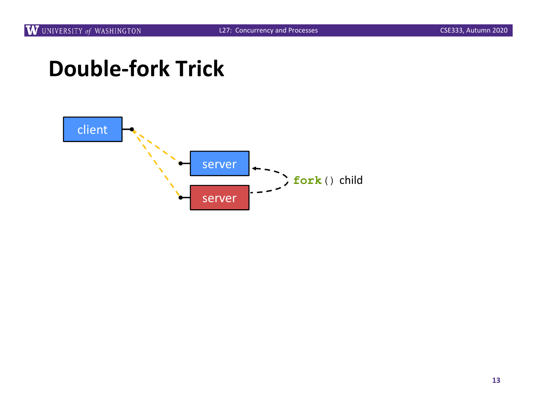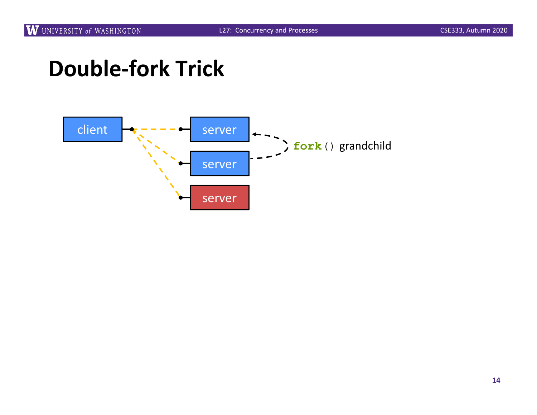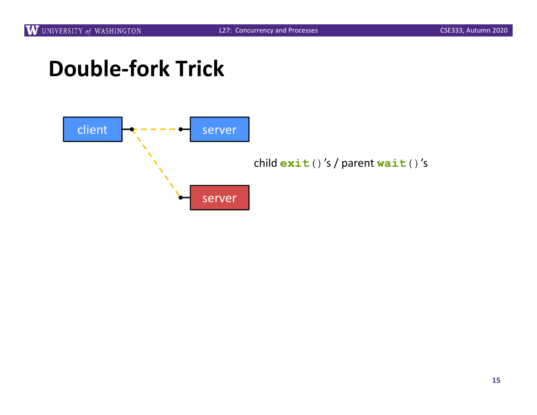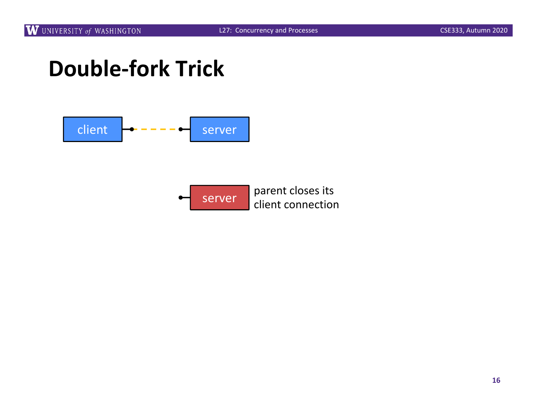

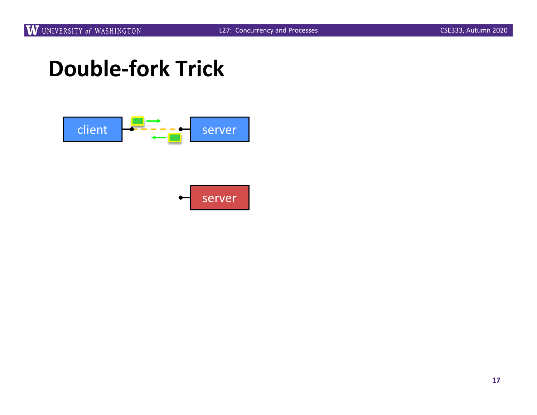

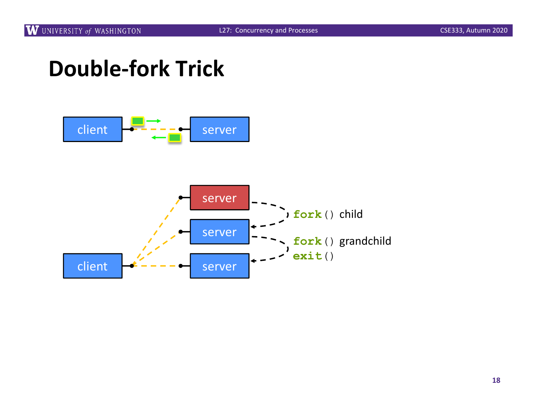

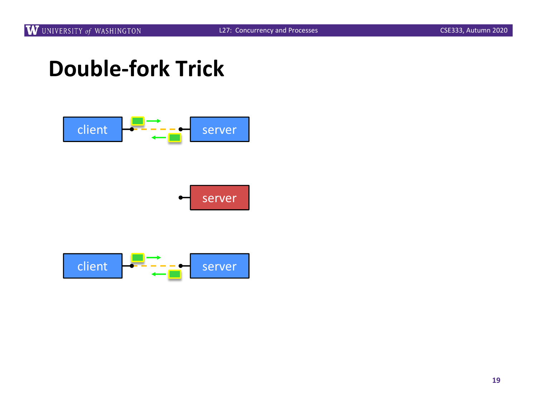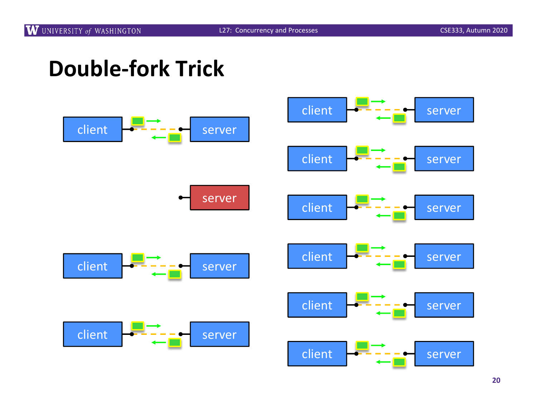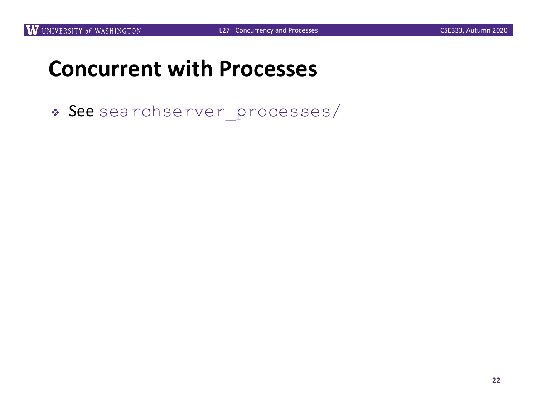#### **Concurrent with Processes**

\* See searchserver processes/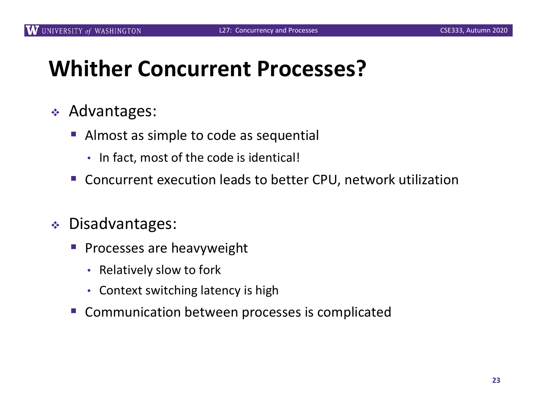#### **Whither Concurrent Processes?**

- <sup>v</sup> Advantages:
	- § Almost as simple to code as sequential
		- In fact, most of the code is identical!
	- § Concurrent execution leads to better CPU, network utilization
- <sup>v</sup> Disadvantages:
	- Processes are heavyweight
		- Relatively slow to fork
		- Context switching latency is high
	- § Communication between processes is complicated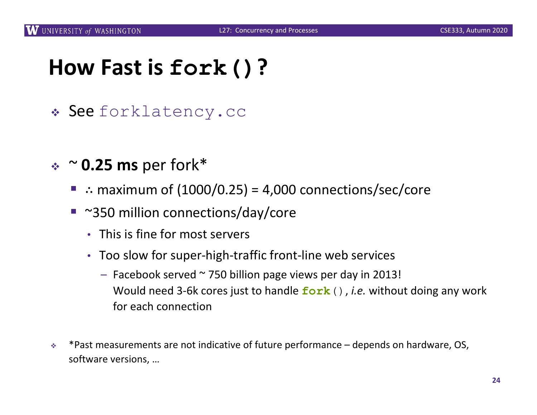## **How Fast is fork()?**

- \* See forklatency.cc
- <sup>v</sup> ~ **0.25 ms** per fork\*
	- ∴ maximum of  $(1000/0.25) = 4,000$  connections/sec/core
	- ~350 million connections/day/core
		- This is fine for most servers
		- Too slow for super-high-traffic front-line web services
			- $-$  Facebook served  $\sim$  750 billion page views per day in 2013! Would need 3-6k cores just to handle **fork**(), *i.e.* without doing any work for each connection
- <sup>v</sup> \*Past measurements are not indicative of future performance depends on hardware, OS, software versions, …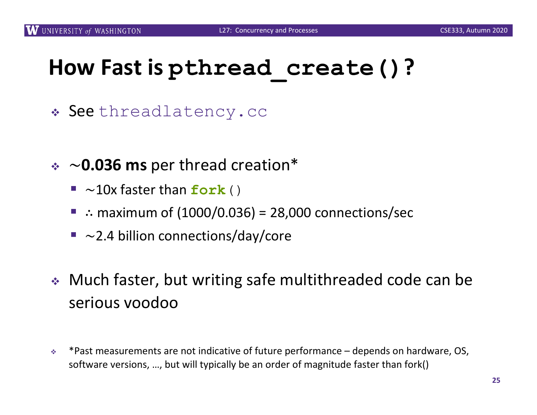## **How Fast is pthread\_create()?**

- \* See threadlatency.cc
- <sup>v</sup> ~**0.036 ms** per thread creation\*
	- $\blacksquare \sim 10x$  faster than  $\text{fork}(\cdot)$
	- $\therefore$  maximum of (1000/0.036) = 28,000 connections/sec
	- $\sim$  2.4 billion connections/day/core
- $\triangleq$  Much faster, but writing safe multithreaded code can be serious voodoo
- <sup>v</sup> \*Past measurements are not indicative of future performance depends on hardware, OS, software versions, …, but will typically be an order of magnitude faster than fork()